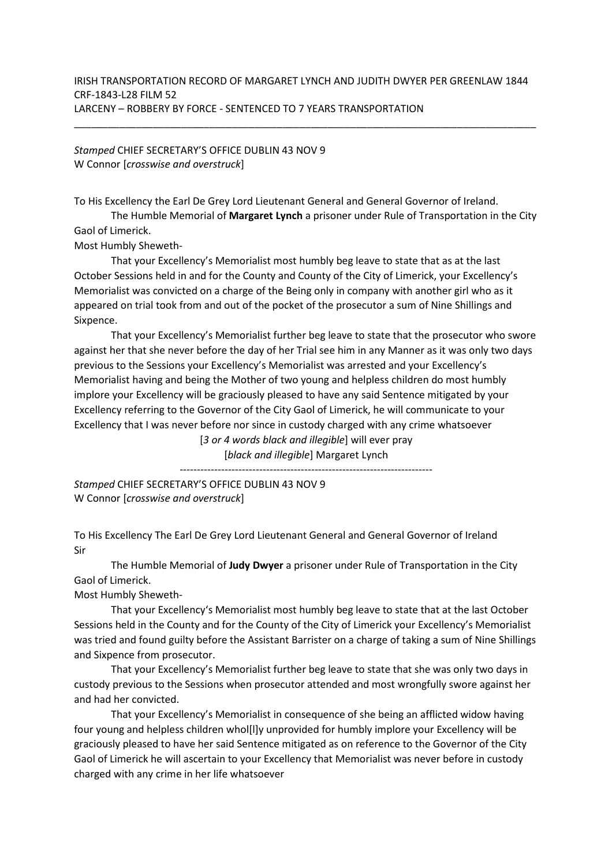\_\_\_\_\_\_\_\_\_\_\_\_\_\_\_\_\_\_\_\_\_\_\_\_\_\_\_\_\_\_\_\_\_\_\_\_\_\_\_\_\_\_\_\_\_\_\_\_\_\_\_\_\_\_\_\_\_\_\_\_\_\_\_\_\_\_\_\_\_\_\_\_\_\_\_\_\_\_\_\_\_\_

Stamped CHIEF SECRETARY'S OFFICE DUBLIN 43 NOV 9 W Connor [crosswise and overstruck]

To His Excellency the Earl De Grey Lord Lieutenant General and General Governor of Ireland.

The Humble Memorial of Margaret Lynch a prisoner under Rule of Transportation in the City Gaol of Limerick.

Most Humbly Sheweth-

 That your Excellency's Memorialist most humbly beg leave to state that as at the last October Sessions held in and for the County and County of the City of Limerick, your Excellency's Memorialist was convicted on a charge of the Being only in company with another girl who as it appeared on trial took from and out of the pocket of the prosecutor a sum of Nine Shillings and Sixpence.

 That your Excellency's Memorialist further beg leave to state that the prosecutor who swore against her that she never before the day of her Trial see him in any Manner as it was only two days previous to the Sessions your Excellency's Memorialist was arrested and your Excellency's Memorialist having and being the Mother of two young and helpless children do most humbly implore your Excellency will be graciously pleased to have any said Sentence mitigated by your Excellency referring to the Governor of the City Gaol of Limerick, he will communicate to your Excellency that I was never before nor since in custody charged with any crime whatsoever

[3 or 4 words black and illegible] will ever pray [black and illegible] Margaret Lynch

-------------------------------------------------------------------------

Stamped CHIEF SECRETARY'S OFFICE DUBLIN 43 NOV 9 W Connor [crosswise and overstruck]

To His Excellency The Earl De Grey Lord Lieutenant General and General Governor of Ireland Sir

 The Humble Memorial of Judy Dwyer a prisoner under Rule of Transportation in the City Gaol of Limerick.

Most Humbly Sheweth-

 That your Excellency's Memorialist most humbly beg leave to state that at the last October Sessions held in the County and for the County of the City of Limerick your Excellency's Memorialist was tried and found guilty before the Assistant Barrister on a charge of taking a sum of Nine Shillings and Sixpence from prosecutor.

 That your Excellency's Memorialist further beg leave to state that she was only two days in custody previous to the Sessions when prosecutor attended and most wrongfully swore against her and had her convicted.

 That your Excellency's Memorialist in consequence of she being an afflicted widow having four young and helpless children whol[l]y unprovided for humbly implore your Excellency will be graciously pleased to have her said Sentence mitigated as on reference to the Governor of the City Gaol of Limerick he will ascertain to your Excellency that Memorialist was never before in custody charged with any crime in her life whatsoever